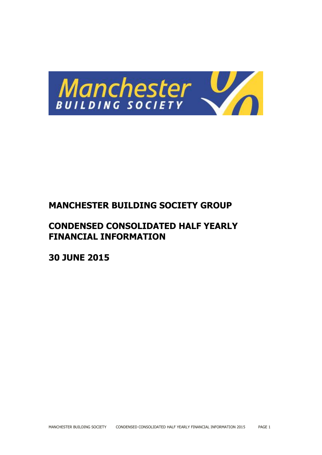

# **MANCHESTER BUILDING SOCIETY GROUP**

# **CONDENSED CONSOLIDATED HALF YEARLY FINANCIAL INFORMATION**

**30 JUNE 2015**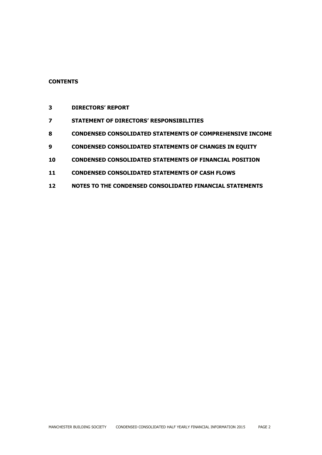# **CONTENTS**

- **DIRECTORS' REPORT**
- **STATEMENT OF DIRECTORS' RESPONSIBILITIES**
- **CONDENSED CONSOLIDATED STATEMENTS OF COMPREHENSIVE INCOME**
- **CONDENSED CONSOLIDATED STATEMENTS OF CHANGES IN EQUITY**
- **CONDENSED CONSOLIDATED STATEMENTS OF FINANCIAL POSITION**
- **CONDENSED CONSOLIDATED STATEMENTS OF CASH FLOWS**
- **NOTES TO THE CONDENSED CONSOLIDATED FINANCIAL STATEMENTS**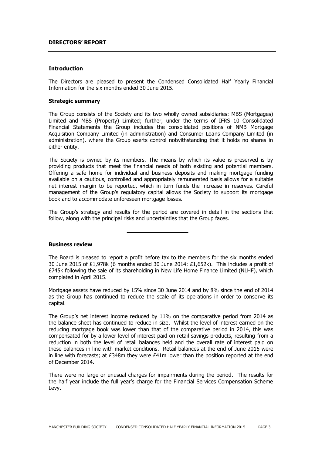#### **DIRECTORS' REPORT**

#### **Introduction**

The Directors are pleased to present the Condensed Consolidated Half Yearly Financial Information for the six months ended 30 June 2015.

#### **Strategic summary**

The Group consists of the Society and its two wholly owned subsidiaries: MBS (Mortgages) Limited and MBS (Property) Limited; further, under the terms of IFRS 10 Consolidated Financial Statements the Group includes the consolidated positions of NMB Mortgage Acquisition Company Limited (in administration) and Consumer Loans Company Limited (in administration), where the Group exerts control notwithstanding that it holds no shares in either entity.

The Society is owned by its members. The means by which its value is preserved is by providing products that meet the financial needs of both existing and potential members. Offering a safe home for individual and business deposits and making mortgage funding available on a cautious, controlled and appropriately remunerated basis allows for a suitable net interest margin to be reported, which in turn funds the increase in reserves. Careful management of the Group's regulatory capital allows the Society to support its mortgage book and to accommodate unforeseen mortgage losses.

The Group's strategy and results for the period are covered in detail in the sections that follow, along with the principal risks and uncertainties that the Group faces.

#### **Business review**

The Board is pleased to report a profit before tax to the members for the six months ended 30 June 2015 of £1,978k (6 months ended 30 June 2014: £1,652k). This includes a profit of £745k following the sale of its shareholding in New Life Home Finance Limited (NLHF), which completed in April 2015.

Mortgage assets have reduced by 15% since 30 June 2014 and by 8% since the end of 2014 as the Group has continued to reduce the scale of its operations in order to conserve its capital.

The Group's net interest income reduced by 11% on the comparative period from 2014 as the balance sheet has continued to reduce in size. Whilst the level of interest earned on the reducing mortgage book was lower than that of the comparative period in 2014, this was compensated for by a lower level of interest paid on retail savings products, resulting from a reduction in both the level of retail balances held and the overall rate of interest paid on these balances in line with market conditions. Retail balances at the end of June 2015 were in line with forecasts; at  $E348m$  they were  $E41m$  lower than the position reported at the end of December 2014.

There were no large or unusual charges for impairments during the period. The results for the half year include the full year's charge for the Financial Services Compensation Scheme Levy.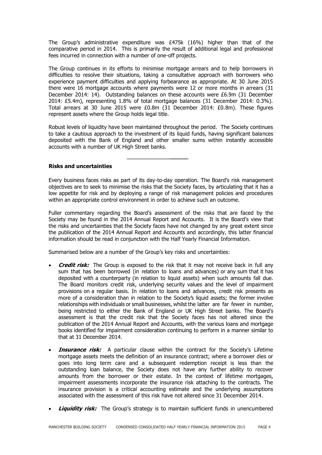The Group's administrative expenditure was  $£475k$  (16%) higher than that of the comparative period in 2014. This is primarily the result of additional legal and professional fees incurred in connection with a number of one-off projects.

The Group continues in its efforts to minimise mortgage arrears and to help borrowers in difficulties to resolve their situations, taking a consultative approach with borrowers who experience payment difficulties and applying forbearance as appropriate. At 30 June 2015 there were 16 mortgage accounts where payments were 12 or more months in arrears (31 December 2014: 14). Outstanding balances on these accounts were £6.9m (31 December 2014: £5.4m), representing 1.8% of total mortgage balances (31 December 2014: 0.3%). Total arrears at 30 June 2015 were £0.8m (31 December 2014: £0.8m). These figures represent assets where the Group holds legal title.

Robust levels of liquidity have been maintained throughout the period. The Society continues to take a cautious approach to the investment of its liquid funds, having significant balances deposited with the Bank of England and other smaller sums within instantly accessible accounts with a number of UK High Street banks.

#### **Risks and uncertainties**

Every business faces risks as part of its day-to-day operation. The Board's risk management objectives are to seek to minimise the risks that the Society faces, by articulating that it has a low appetite for risk and by deploying a range of risk management policies and procedures within an appropriate control environment in order to achieve such an outcome.

Fuller commentary regarding the Board's assessment of the risks that are faced by the Society may be found in the 2014 Annual Report and Accounts. It is the Board's view that the risks and uncertainties that the Society faces have not changed by any great extent since the publication of the 2014 Annual Report and Accounts and accordingly, this latter financial information should be read in conjunction with the Half Yearly Financial Information.

Summarised below are a number of the Group's key risks and uncertainties:

- **Credit risk:** The Group is exposed to the risk that it may not receive back in full any sum that has been borrowed (in relation to loans and advances) or any sum that it has deposited with a counterparty (in relation to liquid assets) when such amounts fall due. The Board monitors credit risk, underlying security values and the level of impairment provisions on a regular basis. In relation to loans and advances, credit risk presents as more of a consideration than in relation to the Society's liquid assets; the former involve relationships with individuals or small businesses, whilst the latter are far fewer in number, being restricted to either the Bank of England or UK High Street banks. The Board's assessment is that the credit risk that the Society faces has not altered since the publication of the 2014 Annual Report and Accounts, with the various loans and mortgage books identified for impairment consideration continuing to perform in a manner similar to that at 31 December 2014.
- **Insurance risk:** A particular clause within the contract for the Society's Lifetime mortgage assets meets the definition of an insurance contract; where a borrower dies or goes into long term care and a subsequent redemption receipt is less than the outstanding loan balance, the Society does not have any further ability to recover amounts from the borrower or their estate. In the context of lifetime mortgages, impairment assessments incorporate the insurance risk attaching to the contracts. The insurance provision is a critical accounting estimate and the underlying assumptions associated with the assessment of this risk have not altered since 31 December 2014.
- **Liquidity risk:** The Group's strategy is to maintain sufficient funds in unencumbered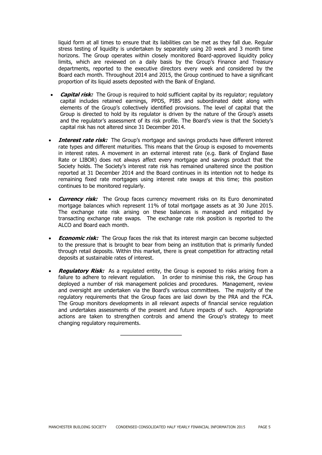liquid form at all times to ensure that its liabilities can be met as they fall due. Regular stress testing of liquidity is undertaken by separately using 20 week and 3 month time horizons. The Group operates within closely monitored Board-approved liquidity policy limits, which are reviewed on a daily basis by the Group's Finance and Treasury departments, reported to the executive directors every week and considered by the Board each month. Throughout 2014 and 2015, the Group continued to have a significant proportion of its liquid assets deposited with the Bank of England.

- **Capital risk:** The Group is required to hold sufficient capital by its regulator; regulatory capital includes retained earnings, PPDS, PIBS and subordinated debt along with elements of the Group's collectively identified provisions. The level of capital that the Group is directed to hold by its regulator is driven by the nature of the Group's assets and the regulator's assessment of its risk profile. The Board's view is that the Society's capital risk has not altered since 31 December 2014.
- **Interest rate risk:** The Group's mortgage and savings products have different interest rate types and different maturities. This means that the Group is exposed to movements in interest rates. A movement in an external interest rate (e.g. Bank of England Base Rate or LIBOR) does not always affect every mortgage and savings product that the Society holds. The Society's interest rate risk has remained unaltered since the position reported at 31 December 2014 and the Board continues in its intention not to hedge its remaining fixed rate mortgages using interest rate swaps at this time; this position continues to be monitored regularly.
- **Currency risk:** The Group faces currency movement risks on its Euro denominated mortgage balances which represent 11% of total mortgage assets as at 30 June 2015. The exchange rate risk arising on these balances is managed and mitigated by transacting exchange rate swaps. The exchange rate risk position is reported to the ALCO and Board each month.
- **Economic risk:** The Group faces the risk that its interest margin can become subjected to the pressure that is brought to bear from being an institution that is primarily funded through retail deposits. Within this market, there is great competition for attracting retail deposits at sustainable rates of interest.
- **Regulatory Risk:** As a regulated entity, the Group is exposed to risks arising from a failure to adhere to relevant regulation. In order to minimise this risk, the Group has deployed a number of risk management policies and procedures. Management, review and oversight are undertaken via the Board's various committees. The majority of the regulatory requirements that the Group faces are laid down by the PRA and the FCA. The Group monitors developments in all relevant aspects of financial service regulation and undertakes assessments of the present and future impacts of such. Appropriate actions are taken to strengthen controls and amend the Group's strategy to meet changing regulatory requirements.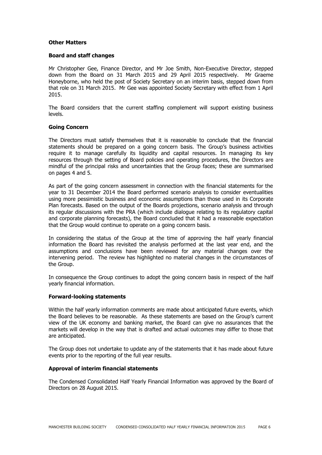#### **Other Matters**

#### **Board and staff changes**

Mr Christopher Gee, Finance Director, and Mr Joe Smith, Non-Executive Director, stepped down from the Board on 31 March 2015 and 29 April 2015 respectively. Mr Graeme Honeyborne, who held the post of Society Secretary on an interim basis, stepped down from that role on 31 March 2015. Mr Gee was appointed Society Secretary with effect from 1 April 2015.

The Board considers that the current staffing complement will support existing business levels.

#### **Going Concern**

The Directors must satisfy themselves that it is reasonable to conclude that the financial statements should be prepared on a going concern basis. The Group's business activities require it to manage carefully its liquidity and capital resources. In managing its key resources through the setting of Board policies and operating procedures, the Directors are mindful of the principal risks and uncertainties that the Group faces; these are summarised on pages 4 and 5.

As part of the going concern assessment in connection with the financial statements for the year to 31 December 2014 the Board performed scenario analysis to consider eventualities using more pessimistic business and economic assumptions than those used in its Corporate Plan forecasts. Based on the output of the Boards projections, scenario analysis and through its regular discussions with the PRA (which include dialogue relating to its regulatory capital and corporate planning forecasts), the Board concluded that it had a reasonable expectation that the Group would continue to operate on a going concern basis.

In considering the status of the Group at the time of approving the half yearly financial information the Board has revisited the analysis performed at the last year end, and the assumptions and conclusions have been reviewed for any material changes over the intervening period. The review has highlighted no material changes in the circumstances of the Group.

In consequence the Group continues to adopt the going concern basis in respect of the half yearly financial information.

#### **Forward-looking statements**

Within the half yearly information comments are made about anticipated future events, which the Board believes to be reasonable. As these statements are based on the Group's current view of the UK economy and banking market, the Board can give no assurances that the markets will develop in the way that is drafted and actual outcomes may differ to those that are anticipated.

The Group does not undertake to update any of the statements that it has made about future events prior to the reporting of the full year results.

#### **Approval of interim financial statements**

The Condensed Consolidated Half Yearly Financial Information was approved by the Board of Directors on 28 August 2015.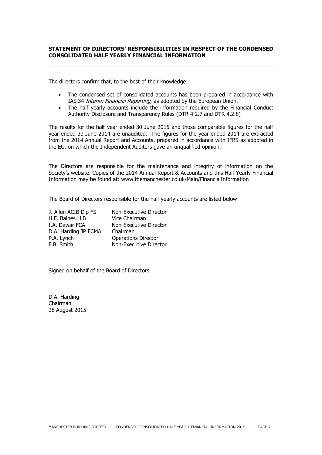#### **STATEMENT OF DIRECTORS' RESPONSIBILITIES IN RESPECT OF THE CONDENSED CONSOLIDATED HALF YEARLY FINANCIAL INFORMATION**

The directors confirm that, to the best of their knowledge:

- The condensed set of consolidated accounts has been prepared in accordance with IAS 34 *Interim Financial Reporting*, as adopted by the European Union.
- The half yearly accounts include the information required by the Financial Conduct Authority Disclosure and Transparency Rules (DTR 4.2.7 and DTR 4.2.8)

The results for the half year ended 30 June 2015 and those comparable figures for the half year ended 30 June 2014 are unaudited. The figures for the year ended 2014 are extracted from the 2014 Annual Report and Accounts, prepared in accordance with IFRS as adopted in the EU, on which the Independent Auditors gave an unqualified opinion.

The Directors are responsible for the maintenance and integrity of information on the Society's website. Copies of the 2014 Annual Report & Accounts and this Half Yearly Financial Information may be found at: www.themanchester.co.uk/Main/FinancialInformation

The Board of Directors responsible for the half yearly accounts are listed below:

| J. Allen ACIB Dip FS | Non-Executive Director     |
|----------------------|----------------------------|
| H.F. Baines LLB      | Vice Chairman              |
| I.A. Dewar FCA       | Non-Executive Director     |
| D.A. Harding JP FCMA | Chairman                   |
| P.A. Lynch           | <b>Operations Director</b> |
| F.B. Smith           | Non-Executive Director     |

Signed on behalf of the Board of Directors

D.A. Harding Chairman 28 August 2015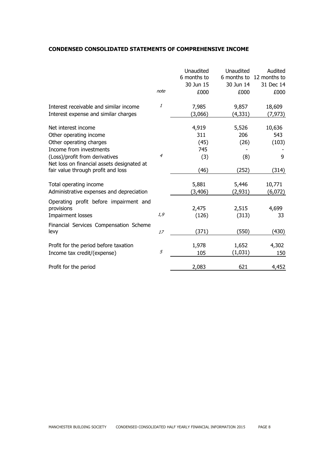#### **CONDENSED CONSOLIDATED STATEMENTS OF COMPREHENSIVE INCOME**

|                                                                                                                                                                                                                           | note           | Unaudited<br>6 months to<br>30 Jun 15<br>£000 | Unaudited<br>6 months to<br>30 Jun 14<br>£000 | Audited<br>12 months to<br>31 Dec 14<br>£000 |
|---------------------------------------------------------------------------------------------------------------------------------------------------------------------------------------------------------------------------|----------------|-----------------------------------------------|-----------------------------------------------|----------------------------------------------|
| Interest receivable and similar income<br>Interest expense and similar charges                                                                                                                                            | 1              | 7,985<br>(3,066)                              | 9,857<br>(4,331)                              | 18,609<br>(7, 973)                           |
| Net interest income<br>Other operating income<br>Other operating charges<br>Income from investments<br>(Loss)/profit from derivatives<br>Net loss on financial assets designated at<br>fair value through profit and loss | $\overline{4}$ | 4,919<br>311<br>(45)<br>745<br>(3)<br>(46)    | 5,526<br>206<br>(26)<br>(8)<br>(252)          | 10,636<br>543<br>(103)<br>9<br>(314)         |
| Total operating income<br>Administrative expenses and depreciation                                                                                                                                                        |                | 5,881<br>(3,406)                              | 5,446<br>(2,931)                              | 10,771<br>(6,072)                            |
| Operating profit before impairment and<br>provisions<br>Impairment losses                                                                                                                                                 | 1, 9           | 2,475<br>(126)                                | 2,515<br>(313)                                | 4,699<br>33                                  |
| Financial Services Compensation Scheme<br>levy                                                                                                                                                                            | 17             | (371)                                         | (550)                                         | (430)                                        |
| Profit for the period before taxation<br>Income tax credit/(expense)                                                                                                                                                      | 5              | 1,978<br>105                                  | 1,652<br>(1,031)                              | 4,302<br>150                                 |
| Profit for the period                                                                                                                                                                                                     |                | 2,083                                         | 621                                           | 4,452                                        |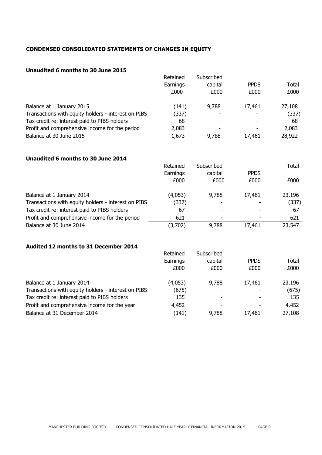# **CONDENSED CONSOLIDATED STATEMENTS OF CHANGES IN EQUITY**

# **Unaudited 6 months to 30 June 2015**

|                                                     | Retained | Subscribed |             |        |
|-----------------------------------------------------|----------|------------|-------------|--------|
|                                                     | Earnings | capital    | <b>PPDS</b> | Total  |
|                                                     | £000     | £000       | £000        | £000   |
| Balance at 1 January 2015                           | (141)    | 9,788      | 17,461      | 27,108 |
| Transactions with equity holders - interest on PIBS | (337)    |            |             | (337)  |
| Tax credit re: interest paid to PIBS holders        | 68       |            |             | 68     |
| Profit and comprehensive income for the period      | 2,083    | ٠          |             | 2,083  |
| Balance at 30 June 2015                             | 1,673    | 9,788      | 17,461      | 28,922 |

# **Unaudited 6 months to 30 June 2014**

|                                                     | Retained | Subscribed |             | Total  |
|-----------------------------------------------------|----------|------------|-------------|--------|
|                                                     | Earnings | capital    | <b>PPDS</b> |        |
|                                                     | £000     | £000       | £000        | £000   |
| Balance at 1 January 2014                           | (4,053)  | 9,788      | 17,461      | 23,196 |
| Transactions with equity holders - interest on PIBS | (337)    |            |             | (337)  |
| Tax credit re: interest paid to PIBS holders        | 67       |            |             | 67     |
| Profit and comprehensive income for the period      | 621      |            |             | 621    |
| Balance at 30 June 2014                             | (3,702)  | 9,788      | 17,461      | 23,547 |

#### **Audited 12 months to 31 December 2014**

|                                                     | Retained | Subscribed |             |        |
|-----------------------------------------------------|----------|------------|-------------|--------|
|                                                     | Earnings | capital    | <b>PPDS</b> | Total  |
|                                                     | £000     | £000       | £000        | £000   |
| Balance at 1 January 2014                           | (4,053)  | 9,788      | 17,461      | 23,196 |
| Transactions with equity holders - interest on PIBS | (675)    |            |             | (675)  |
| Tax credit re: interest paid to PIBS holders        | 135      |            |             | 135    |
| Profit and comprehensive income for the year        | 4,452    |            |             | 4,452  |
| Balance at 31 December 2014                         | (141)    | 9,788      | 17,461      | 27,108 |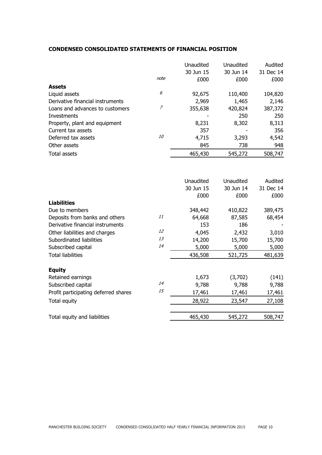## **CONDENSED CONSOLIDATED STATEMENTS OF FINANCIAL POSITION**

|                                      | note           | Unaudited<br>30 Jun 15<br>£000 | Unaudited<br>30 Jun 14<br>£000 | Audited<br>31 Dec 14<br>£000 |
|--------------------------------------|----------------|--------------------------------|--------------------------------|------------------------------|
| <b>Assets</b>                        |                |                                |                                |                              |
| Liquid assets                        | 6              | 92,675                         | 110,400                        | 104,820                      |
| Derivative financial instruments     |                | 2,969                          | 1,465                          | 2,146                        |
| Loans and advances to customers      | $\overline{z}$ | 355,638                        | 420,824                        | 387,372                      |
| Investments                          |                |                                | 250                            | 250                          |
| Property, plant and equipment        |                | 8,231                          | 8,302                          | 8,313                        |
| Current tax assets                   |                | 357                            |                                | 356                          |
| Deferred tax assets                  | <i>10</i>      | 4,715                          | 3,293                          | 4,542                        |
| Other assets                         |                | 845                            | 738                            | 948                          |
| <b>Total assets</b>                  |                | 465,430                        | 545,272                        | 508,747                      |
|                                      |                |                                |                                |                              |
|                                      |                | Unaudited                      | Unaudited                      | Audited                      |
|                                      |                | 30 Jun 15                      | 30 Jun 14                      | 31 Dec 14                    |
|                                      |                | £000                           | £000                           | £000                         |
| <b>Liabilities</b>                   |                |                                |                                |                              |
| Due to members                       |                | 348,442                        | 410,822                        | 389,475                      |
| Deposits from banks and others       | 11             | 64,668                         | 87,585                         | 68,454                       |
| Derivative financial instruments     | 12             | 153                            | 186                            |                              |
| Other liabilities and charges        | 13             | 4,045                          | 2,432                          | 3,010                        |
| Subordinated liabilities             | 14             | 14,200                         | 15,700                         | 15,700                       |
| Subscribed capital                   |                | 5,000                          | 5,000                          | 5,000                        |
| <b>Total liabilities</b>             |                | 436,508                        | 521,725                        | 481,639                      |
| <b>Equity</b>                        |                |                                |                                |                              |
| Retained earnings                    |                | 1,673                          | (3,702)                        | (141)                        |
| Subscribed capital                   | 14             | 9,788                          | 9,788                          | 9,788                        |
| Profit participating deferred shares | 15             | 17,461                         | 17,461                         | 17,461                       |
| Total equity                         |                | 28,922                         | 23,547                         | 27,108                       |
|                                      |                |                                |                                |                              |
| Total equity and liabilities         |                | 465,430                        | 545,272                        | 508,747                      |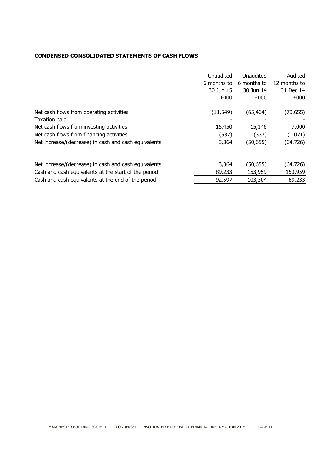# **CONDENSED CONSOLIDATED STATEMENTS OF CASH FLOWS**

| Audited<br>6 months to<br>6 months to<br>30 Jun 15<br>30 Jun 14<br>£000<br>£000 | 12 months to<br>31 Dec 14<br>£000 |
|---------------------------------------------------------------------------------|-----------------------------------|
| Net cash flows from operating activities<br>(11, 549)<br>(65, 464)              | (70, 655)                         |
| Taxation paid                                                                   |                                   |
| 15,450<br>Net cash flows from investing activities<br>15,146                    | 7,000                             |
| Net cash flows from financing activities<br>(537)<br>(337)                      | (1,071)                           |
| Net increase/(decrease) in cash and cash equivalents<br>3,364<br>(50,655)       | (64,726)                          |
|                                                                                 |                                   |
| Net increase/(decrease) in cash and cash equivalents<br>3,364<br>(50, 655)      | (64, 726)                         |
| Cash and cash equivalents at the start of the period<br>89,233<br>153,959       | 153,959                           |
| 103,304<br>Cash and cash equivalents at the end of the period<br>92,597         | 89,233                            |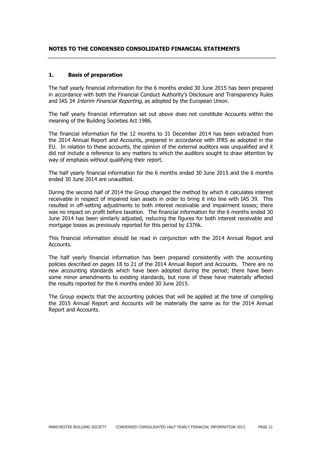#### **NOTES TO THE CONDENSED CONSOLIDATED FINANCIAL STATEMENTS**

#### **1. Basis of preparation**

The half yearly financial information for the 6 months ended 30 June 2015 has been prepared in accordance with both the Financial Conduct Authority's Disclosure and Transparency Rules and IAS 34 *Interim Financial Reporting*, as adopted by the European Union.

The half yearly financial information set out above does not constitute Accounts within the meaning of the Building Societies Act 1986.

The financial information for the 12 months to 31 December 2014 has been extracted from the 2014 Annual Report and Accounts, prepared in accordance with IFRS as adopted in the EU. In relation to these accounts, the opinion of the external auditors was unqualified and it did not include a reference to any matters to which the auditors sought to draw attention by way of emphasis without qualifying their report.

The half yearly financial information for the 6 months ended 30 June 2015 and the 6 months ended 30 June 2014 are unaudited.

During the second half of 2014 the Group changed the method by which it calculates interest receivable in respect of impaired loan assets in order to bring it into line with IAS 39. This resulted in off-setting adjustments to both interest receivable and impairment losses; there was no impact on profit before taxation. The financial information for the 6 months ended 30 June 2014 has been similarly adjusted, reducing the figures for both interest receivable and mortgage losses as previously reported for this period by £376k.

This financial information should be read in conjunction with the 2014 Annual Report and Accounts.

The half yearly financial information has been prepared consistently with the accounting policies described on pages 18 to 21 of the 2014 Annual Report and Accounts. There are no new accounting standards which have been adopted during the period; there have been some minor amendments to existing standards, but none of these have materially affected the results reported for the 6 months ended 30 June 2015.

The Group expects that the accounting policies that will be applied at the time of compiling the 2015 Annual Report and Accounts will be materially the same as for the 2014 Annual Report and Accounts.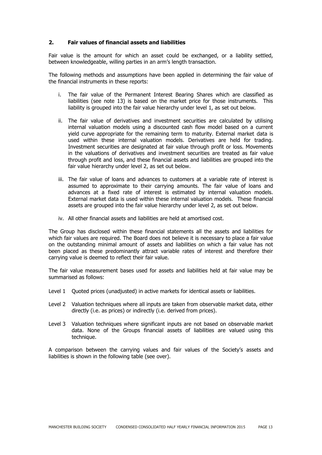#### **2. Fair values of financial assets and liabilities**

Fair value is the amount for which an asset could be exchanged, or a liability settled, between knowledgeable, willing parties in an arm's length transaction.

The following methods and assumptions have been applied in determining the fair value of the financial instruments in these reports:

- i. The fair value of the Permanent Interest Bearing Shares which are classified as liabilities (see note 13) is based on the market price for those instruments. This liability is grouped into the fair value hierarchy under level 1, as set out below.
- ii. The fair value of derivatives and investment securities are calculated by utilising internal valuation models using a discounted cash flow model based on a current yield curve appropriate for the remaining term to maturity. External market data is used within these internal valuation models. Derivatives are held for trading. Investment securities are designated at fair value through profit or loss. Movements in the valuations of derivatives and investment securities are treated as fair value through profit and loss, and these financial assets and liabilities are grouped into the fair value hierarchy under level 2, as set out below.
- iii. The fair value of loans and advances to customers at a variable rate of interest is assumed to approximate to their carrying amounts. The fair value of loans and advances at a fixed rate of interest is estimated by internal valuation models. External market data is used within these internal valuation models. These financial assets are grouped into the fair value hierarchy under level 2, as set out below.
- iv. All other financial assets and liabilities are held at amortised cost.

The Group has disclosed within these financial statements all the assets and liabilities for which fair values are required. The Board does not believe it is necessary to place a fair value on the outstanding minimal amount of assets and liabilities on which a fair value has not been placed as these predominantly attract variable rates of interest and therefore their carrying value is deemed to reflect their fair value.

The fair value measurement bases used for assets and liabilities held at fair value may be summarised as follows:

- Level 1 Quoted prices (unadjusted) in active markets for identical assets or liabilities.
- Level 2 Valuation techniques where all inputs are taken from observable market data, either directly (i.e. as prices) or indirectly (i.e. derived from prices).
- Level 3 Valuation techniques where significant inputs are not based on observable market data. None of the Groups financial assets of liabilities are valued using this technique.

A comparison between the carrying values and fair values of the Society's assets and liabilities is shown in the following table (see over).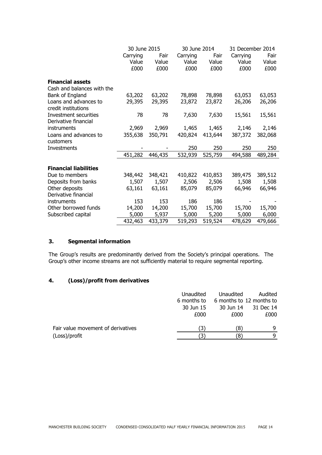|                              | 30 June 2015 |         |          | 30 June 2014 |          | 31 December 2014 |  |
|------------------------------|--------------|---------|----------|--------------|----------|------------------|--|
|                              | Carrying     | Fair    | Carrying | Fair         | Carrying | Fair             |  |
|                              | Value        | Value   | Value    | Value        | Value    | Value            |  |
|                              | £000         | £000    | £000     | £000         | £000     | £000             |  |
| <b>Financial assets</b>      |              |         |          |              |          |                  |  |
| Cash and balances with the   |              |         |          |              |          |                  |  |
| Bank of England              | 63,202       | 63,202  | 78,898   | 78,898       | 63,053   | 63,053           |  |
| Loans and advances to        | 29,395       | 29,395  | 23,872   | 23,872       | 26,206   | 26,206           |  |
| credit institutions          |              |         |          |              |          |                  |  |
| Investment securities        | 78           | 78      | 7,630    | 7,630        | 15,561   | 15,561           |  |
| Derivative financial         |              |         |          |              |          |                  |  |
| instruments                  | 2,969        | 2,969   | 1,465    | 1,465        | 2,146    | 2,146            |  |
| Loans and advances to        | 355,638      | 350,791 | 420,824  | 413,644      | 387,372  | 382,068          |  |
| customers                    |              |         |          |              |          |                  |  |
| Investments                  |              |         | 250      | 250          | 250      | 250              |  |
|                              | 451,282      | 446,435 | 532,939  | 525,759      | 494,588  | 489,284          |  |
|                              |              |         |          |              |          |                  |  |
| <b>Financial liabilities</b> |              |         |          |              |          |                  |  |
| Due to members               | 348,442      | 348,421 | 410,822  | 410,853      | 389,475  | 389,512          |  |
| Deposits from banks          | 1,507        | 1,507   | 2,506    | 2,506        | 1,508    | 1,508            |  |
| Other deposits               | 63,161       | 63,161  | 85,079   | 85,079       | 66,946   | 66,946           |  |
| Derivative financial         |              |         |          |              |          |                  |  |
| instruments                  | 153          | 153     | 186      | 186          |          |                  |  |
| Other borrowed funds         | 14,200       | 14,200  | 15,700   | 15,700       | 15,700   | 15,700           |  |
| Subscribed capital           | 5,000        | 5,937   | 5,000    | 5,200        | 5,000    | 6,000            |  |
|                              | 432,463      | 433,379 | 519,293  | 519,524      | 478,629  | 479,666          |  |

## **3. Segmental information**

The Group's results are predominantly derived from the Society's principal operations. The Group's other income streams are not sufficiently material to require segmental reporting.

## **4. (Loss)/profit from derivatives**

|                                    | Unaudited<br>6 months to<br>30 Jun 15<br>£000 | Unaudited<br>30 Jun 14<br>£000 | Audited<br>6 months to 12 months to<br>31 Dec 14<br>£000 |
|------------------------------------|-----------------------------------------------|--------------------------------|----------------------------------------------------------|
| Fair value movement of derivatives |                                               | 81                             | q                                                        |
| (Loss)/profit                      |                                               | '8'                            | q                                                        |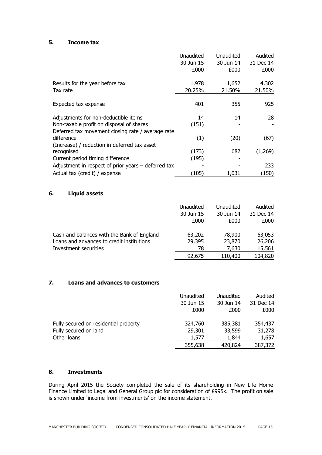#### **5. Income tax**

|                                                       | Unaudited<br>30 Jun 15 | Unaudited<br>30 Jun 14 | Audited<br>31 Dec 14 |
|-------------------------------------------------------|------------------------|------------------------|----------------------|
|                                                       | £000                   | £000                   | £000                 |
|                                                       |                        |                        |                      |
| Results for the year before tax                       | 1,978                  | 1,652                  | 4,302                |
| Tax rate                                              | 20.25%                 | 21.50%                 | 21.50%               |
|                                                       |                        |                        |                      |
| Expected tax expense                                  | 401                    | 355                    | 925                  |
| Adjustments for non-deductible items                  | 14                     | 14                     | 28                   |
| Non-taxable profit on disposal of shares              | (151)                  |                        |                      |
| Deferred tax movement closing rate / average rate     |                        |                        |                      |
| difference                                            | (1)                    | (20)                   | (67)                 |
| (Increase) / reduction in deferred tax asset          |                        |                        |                      |
| recognised                                            | (173)                  | 682                    | (1,269)              |
| Current period timing difference                      | (195)                  |                        |                      |
| Adjustment in respect of prior years $-$ deferred tax |                        |                        | 233                  |
| Actual tax (credit) / expense                         | (105)                  | 1,031                  | (150)                |

## **6. Liquid assets**

|                                            | Unaudited | Unaudited | Audited   |
|--------------------------------------------|-----------|-----------|-----------|
|                                            | 30 Jun 15 | 30 Jun 14 | 31 Dec 14 |
|                                            | £000      | £000      | £000      |
| Cash and balances with the Bank of England | 63,202    | 78,900    | 63,053    |
| Loans and advances to credit institutions  | 29,395    | 23,870    | 26,206    |
| Investment securities                      | 78        | 7,630     | 15,561    |
|                                            | 92,675    | 110,400   | 104,820   |

## **7. Loans and advances to customers**

|                                       | Unaudited | Unaudited | Audited   |
|---------------------------------------|-----------|-----------|-----------|
|                                       | 30 Jun 15 | 30 Jun 14 | 31 Dec 14 |
|                                       | £000      | £000      | £000      |
| Fully secured on residential property | 324,760   | 385,381   | 354,437   |
| Fully secured on land                 | 29,301    | 33,599    | 31,278    |
| Other loans                           | 1,577     | 1,844     | 1,657     |
|                                       | 355,638   | 420,824   | 387,372   |

#### **8. Investments**

During April 2015 the Society completed the sale of its shareholding in New Life Home Finance Limited to Legal and General Group plc for consideration of £995k. The profit on sale is shown under 'income from investments' on the income statement.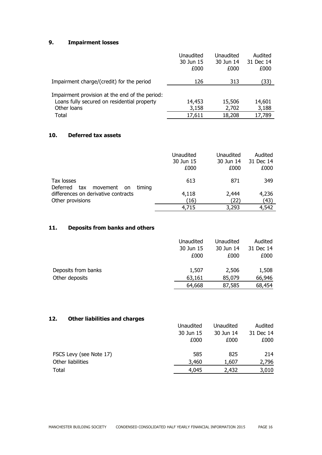# **9. Impairment losses**

|                                                                                                              | Unaudited<br>30 Jun 15<br>£000 | Unaudited<br>30 Jun 14<br>£000 | Audited<br>31 Dec 14<br>£000 |
|--------------------------------------------------------------------------------------------------------------|--------------------------------|--------------------------------|------------------------------|
| Impairment charge/(credit) for the period                                                                    | 126                            | 313                            | (33)                         |
| Impairment provision at the end of the period:<br>Loans fully secured on residential property<br>Other loans | 14,453<br>3,158                | 15,506<br>2,702                | 14,601<br>3,188              |
| Total                                                                                                        | 17,611                         | 18,208                         | 17,789                       |

# **10. Deferred tax assets**

|                                             | Unaudited | Unaudited | Audited   |
|---------------------------------------------|-----------|-----------|-----------|
|                                             | 30 Jun 15 | 30 Jun 14 | 31 Dec 14 |
|                                             | £000      | £000      | £000      |
|                                             |           |           |           |
| Tax losses                                  | 613       | 871       | 349       |
| Deferred<br>tax<br>timina<br>movement<br>on |           |           |           |
| differences on derivative contracts         | 4,118     | 2,444     | 4,236     |
| Other provisions                            | (16)      | (22)      | (43)      |
|                                             | 4,715     | 3,293     | 4,542     |

# **11. Deposits from banks and others**

|                     | Unaudited | <b>Unaudited</b> | Audited   |
|---------------------|-----------|------------------|-----------|
|                     | 30 Jun 15 | 30 Jun 14        | 31 Dec 14 |
|                     | £000      | £000             | £000      |
| Deposits from banks | 1,507     | 2,506            | 1,508     |
| Other deposits      | 63,161    | 85,079           | 66,946    |
|                     | 64,668    | 87,585           | 68,454    |

# **12. Other liabilities and charges**

|                         | Unaudited | <b>Unaudited</b> | Audited   |
|-------------------------|-----------|------------------|-----------|
|                         | 30 Jun 15 | 30 Jun 14        | 31 Dec 14 |
|                         | £000      | £000             | £000      |
| FSCS Levy (see Note 17) | 585       | 825              | 214       |
| Other liabilities       | 3,460     | 1,607            | 2,796     |
| Total                   | 4,045     | 2,432            | 3,010     |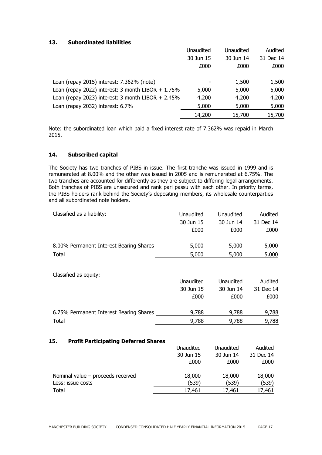# **13. Subordinated liabilities**

|                                                      | Unaudited | Unaudited | Audited   |
|------------------------------------------------------|-----------|-----------|-----------|
|                                                      | 30 Jun 15 | 30 Jun 14 | 31 Dec 14 |
|                                                      | £000      | £000      | £000      |
|                                                      |           |           |           |
| Loan (repay 2015) interest: 7.362% (note)            |           | 1,500     | 1,500     |
| Loan (repay 2022) interest: 3 month LIBOR $+ 1.75\%$ | 5,000     | 5,000     | 5,000     |
| Loan (repay 2023) interest: $3$ month LIBOR + 2.45%  | 4,200     | 4,200     | 4,200     |
| Loan (repay 2032) interest: 6.7%                     | 5,000     | 5,000     | 5,000     |
|                                                      | 14,200    | 15,700    | 15,700    |

Note: the subordinated loan which paid a fixed interest rate of 7.362% was repaid in March 2015.

# **14. Subscribed capital**

The Society has two tranches of PIBS in issue. The first tranche was issued in 1999 and is remunerated at 8.00% and the other was issued in 2005 and is remunerated at 6.75%. The two tranches are accounted for differently as they are subject to differing legal arrangements. Both tranches of PIBS are unsecured and rank pari passu with each other. In priority terms, the PIBS holders rank behind the Society's depositing members, its wholesale counterparties and all subordinated note holders.

| Classified as a liability:              | Unaudited | Unaudited | Audited   |
|-----------------------------------------|-----------|-----------|-----------|
|                                         | 30 Jun 15 | 30 Jun 14 | 31 Dec 14 |
|                                         | £000      | £000      | £000      |
| 8.00% Permanent Interest Bearing Shares | 5,000     | 5,000     | 5,000     |
| Total                                   | 5,000     | 5,000     | 5,000     |

Classified as equity:

|                                         | Unaudited | Unaudited | Audited   |
|-----------------------------------------|-----------|-----------|-----------|
|                                         | 30 Jun 15 | 30 Jun 14 | 31 Dec 14 |
|                                         | £000      | £000      | £000      |
| 6.75% Permanent Interest Bearing Shares | 9,788     | 9,788     | 9,788     |
| Total                                   | 9,788     | 9,788     | 9,788     |

#### **15. Profit Participating Deferred Shares**

|                                     | Unaudited | Unaudited | Audited   |
|-------------------------------------|-----------|-----------|-----------|
|                                     | 30 Jun 15 | 30 Jun 14 | 31 Dec 14 |
|                                     | £000      | £000      | £000      |
| Nominal value $-$ proceeds received | 18,000    | 18,000    | 18,000    |
| Less: issue costs                   | (539)     | (539)     | (539)     |
| Total                               | 17,461    | 17,461    | 17,461    |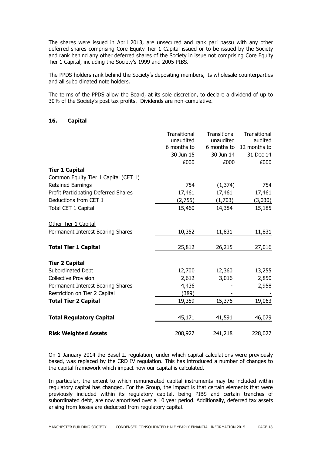The shares were issued in April 2013, are unsecured and rank pari passu with any other deferred shares comprising Core Equity Tier 1 Capital issued or to be issued by the Society and rank behind any other deferred shares of the Society in issue not comprising Core Equity Tier 1 Capital, including the Society's 1999 and 2005 PIBS.

The PPDS holders rank behind the Society's depositing members, its wholesale counterparties and all subordinated note holders.

The terms of the PPDS allow the Board, at its sole discretion, to declare a dividend of up to 30% of the Society's post tax profits. Dividends are non-cumulative.

#### **16. Capital**

|                                      | Transitional | Transitional | Transitional  |
|--------------------------------------|--------------|--------------|---------------|
|                                      | unaudited    | unaudited    | audited       |
|                                      | 6 months to  | 6 months to  | 12 months to  |
|                                      | 30 Jun 15    | 30 Jun 14    | 31 Dec 14     |
|                                      | £000         | £000         | £000          |
| <b>Tier 1 Capital</b>                |              |              |               |
| Common Equity Tier 1 Capital (CET 1) |              |              |               |
| <b>Retained Earnings</b>             | 754          | (1, 374)     | 754           |
| Profit Participating Deferred Shares | 17,461       | 17,461       | 17,461        |
| Deductions from CET 1                | (2,755)      | (1,703)      | (3,030)       |
| Total CET 1 Capital                  | 15,460       | 14,384       | 15,185        |
| Other Tier 1 Capital                 |              |              |               |
| Permanent Interest Bearing Shares    | 10,352       | 11,831       | <u>11,831</u> |
| <b>Total Tier 1 Capital</b>          | 25,812       | 26,215       | 27,016        |
| <b>Tier 2 Capital</b>                |              |              |               |
| Subordinated Debt                    | 12,700       | 12,360       | 13,255        |
| <b>Collective Provision</b>          | 2,612        | 3,016        | 2,850         |
| Permanent Interest Bearing Shares    | 4,436        |              | 2,958         |
| Restriction on Tier 2 Capital        | (389)        |              |               |
| <b>Total Tier 2 Capital</b>          | 19,359       | 15,376       | 19,063        |
| <b>Total Regulatory Capital</b>      | 45,171       | 41,591       | 46,079        |
| <b>Risk Weighted Assets</b>          | 208,927      | 241,218      | 228,027       |

On 1 January 2014 the Basel II regulation, under which capital calculations were previously based, was replaced by the CRD IV regulation. This has introduced a number of changes to the capital framework which impact how our capital is calculated.

In particular, the extent to which remunerated capital instruments may be included within regulatory capital has changed. For the Group, the impact is that certain elements that were previously included within its regulatory capital, being PIBS and certain tranches of subordinated debt, are now amortised over a 10 year period. Additionally, deferred tax assets arising from losses are deducted from regulatory capital.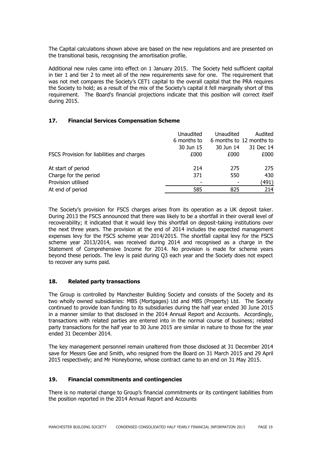The Capital calculations shown above are based on the new regulations and are presented on the transitional basis, recognising the amortisation profile.

Additional new rules came into effect on 1 January 2015. The Society held sufficient capital in tier 1 and tier 2 to meet all of the new requirements save for one. The requirement that was not met compares the Society's CET1 capital to the overall capital that the PRA requires the Society to hold; as a result of the mix of the Society's capital it fell marginally short of this requirement. The Board's financial projections indicate that this position will correct itself during 2015.

#### **17. Financial Services Compensation Scheme**

|                                            | Unaudited   | Unaudited | Audited                  |
|--------------------------------------------|-------------|-----------|--------------------------|
|                                            | 6 months to |           | 6 months to 12 months to |
|                                            | 30 Jun 15   | 30 Jun 14 | 31 Dec 14                |
| FSCS Provision for liabilities and charges | £000        | £000      | £000                     |
| At start of period                         | 214         | 275       | 275                      |
| Charge for the period                      | 371         | 550       | 430                      |
| Provision utilised                         |             |           | (491)                    |
| At end of period                           | 585         | 825       | 214                      |
|                                            |             |           |                          |

The Society's provision for FSCS charges arises from its operation as a UK deposit taker. During 2013 the FSCS announced that there was likely to be a shortfall in their overall level of recoverability; it indicated that it would levy this shortfall on deposit-taking institutions over the next three years. The provision at the end of 2014 includes the expected management expenses levy for the FSCS scheme year 2014/2015. The shortfall capital levy for the FSCS scheme year 2013/2014, was received during 2014 and recognised as a charge in the Statement of Comprehensive Income for 2014. No provision is made for scheme years beyond these periods. The levy is paid during Q3 each year and the Society does not expect to recover any sums paid.

## **18. Related party transactions**

The Group is controlled by Manchester Building Society and consists of the Society and its two wholly owned subsidiaries: MBS (Mortgages) Ltd and MBS (Property) Ltd. The Society continued to provide loan funding to its subsidiaries during the half year ended 30 June 2015 in a manner similar to that disclosed in the 2014 Annual Report and Accounts. Accordingly, transactions with related parties are entered into in the normal course of business; related party transactions for the half year to 30 June 2015 are similar in nature to those for the year ended 31 December 2014.

The key management personnel remain unaltered from those disclosed at 31 December 2014 save for Messrs Gee and Smith, who resigned from the Board on 31 March 2015 and 29 April 2015 respectively; and Mr Honeyborne, whose contract came to an end on 31 May 2015.

#### **19. Financial commitments and contingencies**

There is no material change to Group's financial commitments or its contingent liabilities from the position reported in the 2014 Annual Report and Accounts